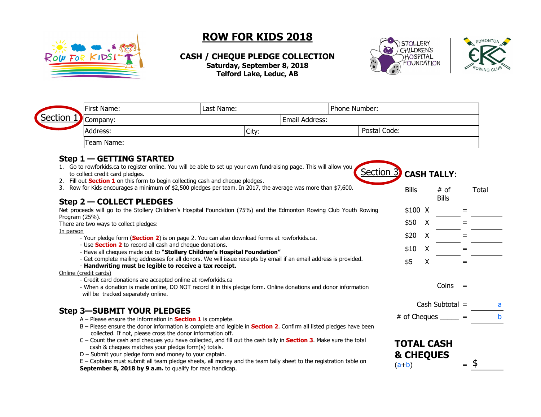

## **ROW FOR KIDS 2018**

**CASH / CHEQUE PLEDGE COLLECTION Saturday, September 8, 2018 Telford Lake, Leduc, AB**





| First Name:                                                                                                               | Last Name:                                                                                                                                                                              | Phone Number:         |                                 |              |                        |              |
|---------------------------------------------------------------------------------------------------------------------------|-----------------------------------------------------------------------------------------------------------------------------------------------------------------------------------------|-----------------------|---------------------------------|--------------|------------------------|--------------|
| Section<br>Company:                                                                                                       |                                                                                                                                                                                         | <b>Email Address:</b> |                                 |              |                        |              |
| Address:                                                                                                                  | City:                                                                                                                                                                                   | Postal Code:          |                                 |              |                        |              |
| Team Name:                                                                                                                |                                                                                                                                                                                         |                       |                                 |              |                        |              |
| $Step 1 - GETTING STATED$                                                                                                 |                                                                                                                                                                                         |                       |                                 |              |                        |              |
| to collect credit card pledges.<br>2. Fill out <b>Section 1</b> on this form to begin collecting cash and cheque pledges. | 1. Go to rowforkids.ca to register online. You will be able to set up your own fundraising page. This will allow you                                                                    | Section 3             |                                 |              | <b>CASH TALLY:</b>     |              |
| 3.<br>Step 2 – COLLECT PLEDGES                                                                                            | Row for Kids encourages a minimum of \$2,500 pledges per team. In 2017, the average was more than \$7,600.                                                                              |                       | <b>Bills</b>                    |              | $#$ of<br><b>Bills</b> | <b>Total</b> |
|                                                                                                                           | Net proceeds will go to the Stollery Children's Hospital Foundation (75%) and the Edmonton Rowing Club Youth Rowing                                                                     |                       | $$100$ X                        |              |                        | $=$          |
| Program (25%).<br>There are two ways to collect pledges:                                                                  |                                                                                                                                                                                         |                       | \$50                            | $\mathsf{X}$ |                        | $=$          |
| In person                                                                                                                 |                                                                                                                                                                                         |                       |                                 |              |                        |              |
|                                                                                                                           | - Your pledge form (Section 2) is on page 2. You can also download forms at rowforkids.ca.                                                                                              |                       | \$20                            | $\mathsf{X}$ |                        | $=$          |
| - Use <b>Section 2</b> to record all cash and cheque donations.                                                           | - Have all cheques made out to "Stollery Children's Hospital Foundation"                                                                                                                |                       | \$10                            | $\mathsf{X}$ |                        |              |
|                                                                                                                           | - Get complete mailing addresses for all donors. We will issue receipts by email if an email address is provided.                                                                       |                       | \$5                             | X            |                        |              |
| - Handwriting must be legible to receive a tax receipt.                                                                   |                                                                                                                                                                                         |                       |                                 |              |                        |              |
| Online (credit cards)<br>- Credit card donations are accepted online at rowforkids.ca                                     |                                                                                                                                                                                         |                       |                                 |              |                        |              |
| will be tracked separately online.                                                                                        | - When a donation is made online, DO NOT record it in this pledge form. Online donations and donor information                                                                          |                       |                                 |              | Coins                  | $=$          |
|                                                                                                                           |                                                                                                                                                                                         |                       |                                 |              | Cash Subtotal $=$      |              |
| <b>Step 3-SUBMIT YOUR PLEDGES</b><br>$A$ – Please ensure the information in <b>Section 1</b> is complete.                 |                                                                                                                                                                                         |                       | $#$ of Cheques $\_\_\_\_\_\_ =$ |              |                        |              |
| collected. If not, please cross the donor information off.                                                                | B – Please ensure the donor information is complete and legible in <b>Section 2.</b> Confirm all listed pledges have been                                                               |                       |                                 |              |                        |              |
| cash & cheques matches your pledge form(s) totals.                                                                        | C - Count the cash and cheques you have collected, and fill out the cash tally in <b>Section 3</b> . Make sure the total                                                                |                       | <b>TOTAL CASH</b>               |              |                        |              |
| $D$ – Submit your pledge form and money to your captain.                                                                  | E - Captains must submit all team pledge sheets, all money and the team tally sheet to the registration table on<br>$Cauchombar 0$ $2010$ by $\Omega$ a me to qualify for rose bandican |                       | & CHEQUES<br>$(a+b)$            |              |                        | \$<br>$=$    |

**September 8, 2018 by 9 a.m.** to qualify for race handicap.